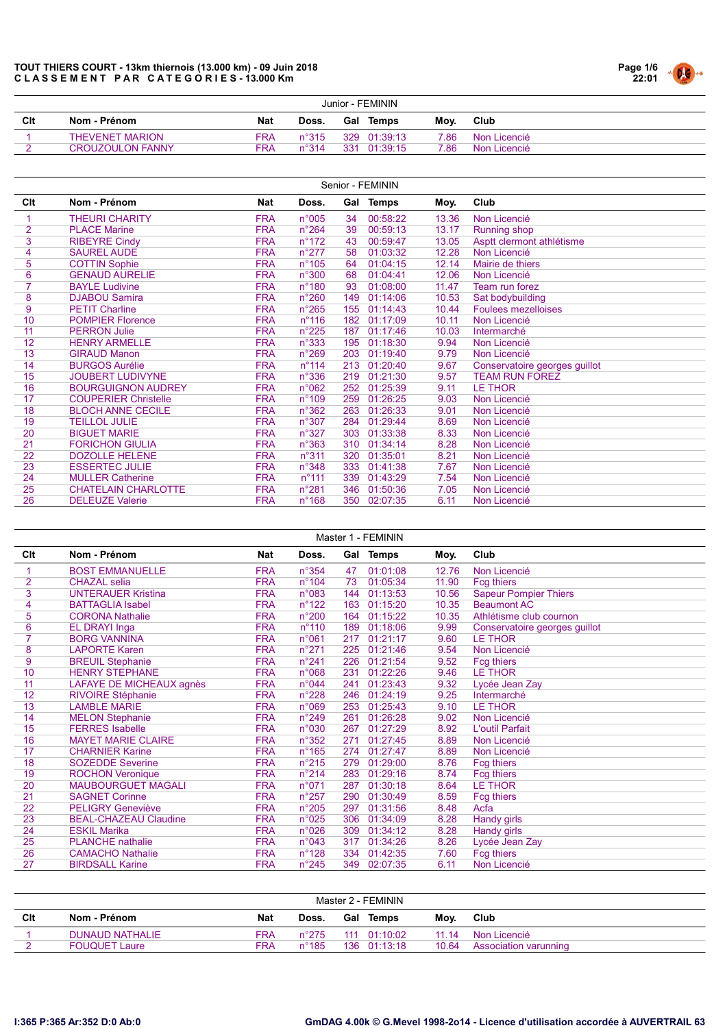

|     | Junior - FEMININ        |            |                |     |              |      |              |  |  |  |  |
|-----|-------------------------|------------|----------------|-----|--------------|------|--------------|--|--|--|--|
| Clt | Nom - Prénom            | <b>Nat</b> | Doss.          |     | Gal Temps    | Mov. | Club         |  |  |  |  |
|     | <b>THEVENET MARION</b>  | FRA        | $n^{\circ}315$ |     | 329 01:39:13 | 7.86 | Non Licencié |  |  |  |  |
|     | <b>CROUZOULON FANNY</b> | FRA.       | $n^{\circ}314$ | 331 | 01:39:15     | 7.86 | Non Licencié |  |  |  |  |

|     | Senior - FEMININ            |            |                 |     |              |       |                               |  |  |  |  |  |  |
|-----|-----------------------------|------------|-----------------|-----|--------------|-------|-------------------------------|--|--|--|--|--|--|
| Clt | Nom - Prénom                | <b>Nat</b> | Doss.           |     | Gal Temps    | Moy.  | Club                          |  |  |  |  |  |  |
|     | <b>THEURI CHARITY</b>       | <b>FRA</b> | n°005           | 34  | 00:58:22     | 13.36 | Non Licencié                  |  |  |  |  |  |  |
| 2   | <b>PLACE Marine</b>         | <b>FRA</b> | $n^{\circ}264$  | 39  | 00:59:13     | 13.17 | <b>Running shop</b>           |  |  |  |  |  |  |
| 3   | <b>RIBEYRE Cindy</b>        | <b>FRA</b> | $n^{\circ}172$  | 43  | 00:59:47     | 13.05 | Asptt clermont athlétisme     |  |  |  |  |  |  |
| 4   | <b>SAUREL AUDE</b>          | <b>FRA</b> | $n^{\circ}277$  | 58  | 01:03:32     | 12.28 | Non Licencié                  |  |  |  |  |  |  |
| 5   | <b>COTTIN Sophie</b>        | <b>FRA</b> | $n^{\circ}105$  | 64  | 01:04:15     | 12.14 | Mairie de thiers              |  |  |  |  |  |  |
| 6   | <b>GENAUD AURELIE</b>       | <b>FRA</b> | n°300           | 68  | 01:04:41     | 12.06 | Non Licencié                  |  |  |  |  |  |  |
| 7   | <b>BAYLE Ludivine</b>       | <b>FRA</b> | $n^{\circ}$ 180 | 93  | 01:08:00     | 11.47 | Team run forez                |  |  |  |  |  |  |
| 8   | <b>DJABOU Samira</b>        | <b>FRA</b> | $n^{\circ}260$  | 149 | 01:14:06     | 10.53 | Sat bodybuilding              |  |  |  |  |  |  |
| 9   | <b>PETIT Charline</b>       | <b>FRA</b> | $n^{\circ}265$  | 155 | 01:14:43     | 10.44 | <b>Foulees mezelloises</b>    |  |  |  |  |  |  |
| 10  | <b>POMPIER Florence</b>     | <b>FRA</b> | $n^{\circ}116$  | 182 | 01:17:09     | 10.11 | Non Licencié                  |  |  |  |  |  |  |
| 11  | <b>PERRON Julie</b>         | <b>FRA</b> | $n^{\circ}225$  | 187 | 01:17:46     | 10.03 | Intermarché                   |  |  |  |  |  |  |
| 12  | <b>HENRY ARMELLE</b>        | <b>FRA</b> | n°333           | 195 | 01:18:30     | 9.94  | Non Licencié                  |  |  |  |  |  |  |
| 13  | <b>GIRAUD Manon</b>         | <b>FRA</b> | $n^{\circ}269$  | 203 | 01:19:40     | 9.79  | Non Licencié                  |  |  |  |  |  |  |
| 14  | <b>BURGOS Aurélie</b>       | <b>FRA</b> | $n^{\circ}$ 114 | 213 | 01:20:40     | 9.67  | Conservatoire georges guillot |  |  |  |  |  |  |
| 15  | <b>JOUBERT LUDIVYNE</b>     | <b>FRA</b> | $n^{\circ}336$  | 219 | 01:21:30     | 9.57  | <b>TEAM RUN FOREZ</b>         |  |  |  |  |  |  |
| 16  | <b>BOURGUIGNON AUDREY</b>   | <b>FRA</b> | n°062           | 252 | 01:25:39     | 9.11  | <b>LE THOR</b>                |  |  |  |  |  |  |
| 17  | <b>COUPERIER Christelle</b> | <b>FRA</b> | $n^{\circ}109$  | 259 | 01:26:25     | 9.03  | Non Licencié                  |  |  |  |  |  |  |
| 18  | <b>BLOCH ANNE CECILE</b>    | <b>FRA</b> | n°362           | 263 | 01:26:33     | 9.01  | Non Licencié                  |  |  |  |  |  |  |
| 19  | <b>TEILLOL JULIE</b>        | <b>FRA</b> | $n^{\circ}307$  | 284 | 01:29:44     | 8.69  | Non Licencié                  |  |  |  |  |  |  |
| 20  | <b>BIGUET MARIE</b>         | <b>FRA</b> | $n^{\circ}327$  | 303 | 01:33:38     | 8.33  | Non Licencié                  |  |  |  |  |  |  |
| 21  | <b>FORICHON GIULIA</b>      | <b>FRA</b> | $n^{\circ}363$  | 310 | 01:34:14     | 8.28  | Non Licencié                  |  |  |  |  |  |  |
| 22  | <b>DOZOLLE HELENE</b>       | <b>FRA</b> | n°311           | 320 | 01:35:01     | 8.21  | Non Licencié                  |  |  |  |  |  |  |
| 23  | <b>ESSERTEC JULIE</b>       | <b>FRA</b> | $n^{\circ}348$  | 333 | 01:41:38     | 7.67  | Non Licencié                  |  |  |  |  |  |  |
| 24  | <b>MULLER Catherine</b>     | <b>FRA</b> | $n^{\circ}$ 111 | 339 | 01:43:29     | 7.54  | Non Licencié                  |  |  |  |  |  |  |
| 25  | <b>CHATELAIN CHARLOTTE</b>  | <b>FRA</b> | n°281           | 346 | 01:50:36     | 7.05  | Non Licencié                  |  |  |  |  |  |  |
| 26  | <b>DELEUZE Valerie</b>      | <b>FRA</b> | $n^{\circ}168$  |     | 350 02:07:35 | 6.11  | Non Licencié                  |  |  |  |  |  |  |

|     | Master 1 - FEMININ           |            |                |     |           |       |                               |  |  |  |  |  |  |
|-----|------------------------------|------------|----------------|-----|-----------|-------|-------------------------------|--|--|--|--|--|--|
| Clt | Nom - Prénom                 | <b>Nat</b> | Doss.          |     | Gal Temps | Moy.  | Club                          |  |  |  |  |  |  |
|     | <b>BOST EMMANUELLE</b>       | <b>FRA</b> | $n^{\circ}354$ | 47  | 01:01:08  | 12.76 | Non Licencié                  |  |  |  |  |  |  |
| 2   | <b>CHAZAL</b> selia          | <b>FRA</b> | $n^{\circ}104$ | 73  | 01:05:34  | 11.90 | <b>Fcg thiers</b>             |  |  |  |  |  |  |
| 3   | <b>UNTERAUER Kristina</b>    | <b>FRA</b> | n°083          | 144 | 01:13:53  | 10.56 | <b>Sapeur Pompier Thiers</b>  |  |  |  |  |  |  |
| 4   | <b>BATTAGLIA Isabel</b>      | <b>FRA</b> | $n^{\circ}122$ | 163 | 01:15:20  | 10.35 | <b>Beaumont AC</b>            |  |  |  |  |  |  |
| 5   | <b>CORONA Nathalie</b>       | <b>FRA</b> | n°200          | 164 | 01:15:22  | 10.35 | Athlétisme club cournon       |  |  |  |  |  |  |
| 6   | EL DRAYI Inga                | <b>FRA</b> | $n^{\circ}110$ | 189 | 01:18:06  | 9.99  | Conservatoire georges guillot |  |  |  |  |  |  |
|     | <b>BORG VANNINA</b>          | <b>FRA</b> | n°061          | 217 | 01:21:17  | 9.60  | <b>LE THOR</b>                |  |  |  |  |  |  |
| 8   | <b>LAPORTE Karen</b>         | <b>FRA</b> | $n^{\circ}271$ | 225 | 01:21:46  | 9.54  | Non Licencié                  |  |  |  |  |  |  |
| 9   | <b>BREUIL Stephanie</b>      | <b>FRA</b> | $n^{\circ}241$ | 226 | 01:21:54  | 9.52  | Fcg thiers                    |  |  |  |  |  |  |
| 10  | <b>HENRY STEPHANE</b>        | <b>FRA</b> | n°068          | 231 | 01:22:26  | 9.46  | <b>LE THOR</b>                |  |  |  |  |  |  |
| 11  | LAFAYE DE MICHEAUX agnès     | <b>FRA</b> | n°044          | 241 | 01:23:43  | 9.32  | Lycée Jean Zay                |  |  |  |  |  |  |
| 12  | <b>RIVOIRE Stéphanie</b>     | <b>FRA</b> | $n^{\circ}228$ | 246 | 01:24:19  | 9.25  | Intermarché                   |  |  |  |  |  |  |
| 13  | <b>LAMBLE MARIE</b>          | <b>FRA</b> | n°069          | 253 | 01:25:43  | 9.10  | <b>LE THOR</b>                |  |  |  |  |  |  |
| 14  | <b>MELON Stephanie</b>       | <b>FRA</b> | n°249          | 261 | 01:26:28  | 9.02  | Non Licencié                  |  |  |  |  |  |  |
| 15  | <b>FERRES</b> Isabelle       | <b>FRA</b> | n°030          | 267 | 01:27:29  | 8.92  | L'outil Parfait               |  |  |  |  |  |  |
| 16  | <b>MAYET MARIE CLAIRE</b>    | <b>FRA</b> | $n^{\circ}352$ | 271 | 01:27:45  | 8.89  | Non Licencié                  |  |  |  |  |  |  |
| 17  | <b>CHARNIER Karine</b>       | <b>FRA</b> | $n^{\circ}165$ | 274 | 01:27:47  | 8.89  | Non Licencié                  |  |  |  |  |  |  |
| 18  | <b>SOZEDDE Severine</b>      | <b>FRA</b> | $n^{\circ}215$ | 279 | 01:29:00  | 8.76  | Fcg thiers                    |  |  |  |  |  |  |
| 19  | <b>ROCHON Veronique</b>      | <b>FRA</b> | $n^{\circ}214$ | 283 | 01:29:16  | 8.74  | Fcg thiers                    |  |  |  |  |  |  |
| 20  | <b>MAUBOURGUET MAGALI</b>    | <b>FRA</b> | n°071          | 287 | 01:30:18  | 8.64  | <b>LE THOR</b>                |  |  |  |  |  |  |
| 21  | <b>SAGNET Corinne</b>        | <b>FRA</b> | $n^{\circ}257$ | 290 | 01:30:49  | 8.59  | Fcg thiers                    |  |  |  |  |  |  |
| 22  | <b>PELIGRY Geneviève</b>     | <b>FRA</b> | $n^{\circ}205$ | 297 | 01:31:56  | 8.48  | Acfa                          |  |  |  |  |  |  |
| 23  | <b>BEAL-CHAZEAU Claudine</b> | <b>FRA</b> | n°025          | 306 | 01:34:09  | 8.28  | <b>Handy girls</b>            |  |  |  |  |  |  |
| 24  | <b>ESKIL Marika</b>          | <b>FRA</b> | n°026          | 309 | 01:34:12  | 8.28  | <b>Handy girls</b>            |  |  |  |  |  |  |
| 25  | <b>PLANCHE</b> nathalie      | <b>FRA</b> | n°043          | 317 | 01:34:26  | 8.26  | Lycée Jean Zay                |  |  |  |  |  |  |
| 26  | <b>CAMACHO Nathalie</b>      | <b>FRA</b> | $n^{\circ}128$ | 334 | 01:42:35  | 7.60  | Fcg thiers                    |  |  |  |  |  |  |
| 27  | <b>BIRDSALL Karine</b>       | <b>FRA</b> | $n^{\circ}245$ | 349 | 02:07:35  | 6.11  | Non Licencié                  |  |  |  |  |  |  |

|     | Master 2 - FEMININ     |     |                 |  |              |       |                       |  |  |  |  |
|-----|------------------------|-----|-----------------|--|--------------|-------|-----------------------|--|--|--|--|
| Clt | Nom - Prénom           | Nat | Doss.           |  | Gal Temps    | Mov.  | Club                  |  |  |  |  |
|     | <b>DUNAUD NATHALIE</b> | FRA | $n^{\circ}$ 275 |  | 111 01:10:02 | 11 14 | Non Licencié          |  |  |  |  |
|     | <b>FOUQUET Laure</b>   | FRΑ | $n^{\circ}185$  |  | 136 01:13:18 | 10.64 | Association varunning |  |  |  |  |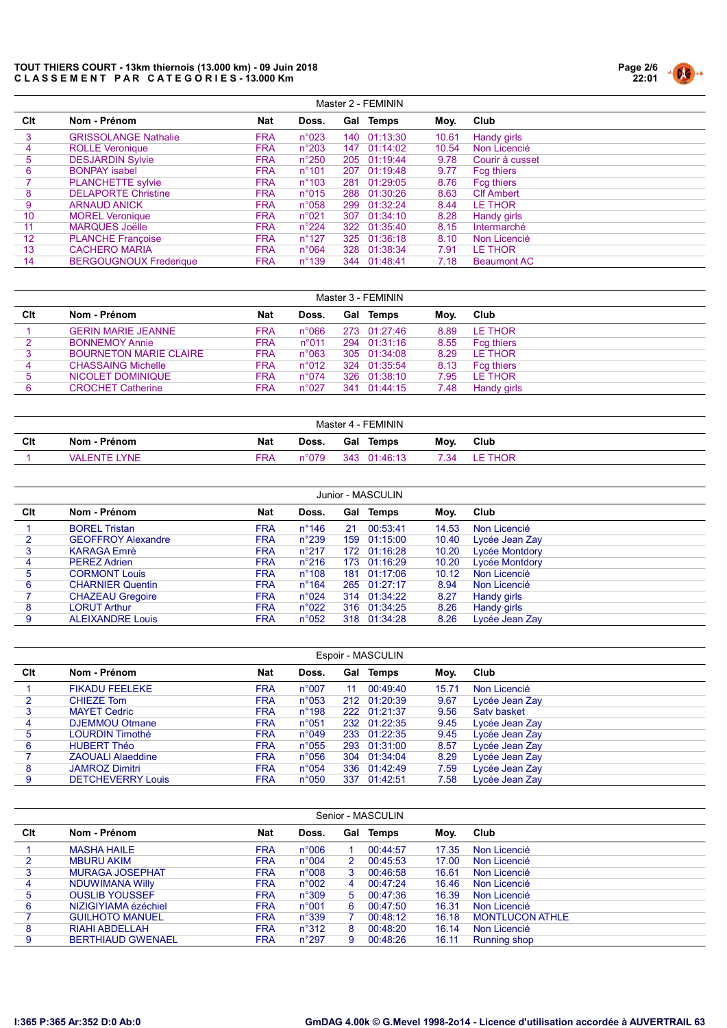

|     | Master 2 - FEMININ            |            |                 |     |              |       |                    |  |  |  |  |
|-----|-------------------------------|------------|-----------------|-----|--------------|-------|--------------------|--|--|--|--|
| Clt | Nom - Prénom                  | <b>Nat</b> | Doss.           |     | Gal Temps    | Moy.  | Club               |  |  |  |  |
| 3   | <b>GRISSOLANGE Nathalie</b>   | <b>FRA</b> | $n^{\circ}023$  |     | 140 01:13:30 | 10.61 | Handy girls        |  |  |  |  |
| 4   | <b>ROLLE Veronique</b>        | <b>FRA</b> | $n^{\circ}203$  |     | 147 01:14:02 | 10.54 | Non Licencié       |  |  |  |  |
| 5   | <b>DESJARDIN Sylvie</b>       | <b>FRA</b> | $n^{\circ}250$  |     | 205 01:19:44 | 9.78  | Courir à cusset    |  |  |  |  |
| 6   | <b>BONPAY isabel</b>          | <b>FRA</b> | $n^{\circ}101$  |     | 207 01:19:48 | 9.77  | Fcg thiers         |  |  |  |  |
|     | <b>PLANCHETTE sylvie</b>      | <b>FRA</b> | $n^{\circ}103$  | 281 | 01:29:05     | 8.76  | Fcg thiers         |  |  |  |  |
| 8   | <b>DELAPORTE Christine</b>    | <b>FRA</b> | $n^{\circ}015$  |     | 288 01:30:26 | 8.63  | <b>CIf Ambert</b>  |  |  |  |  |
| 9   | <b>ARNAUD ANICK</b>           | <b>FRA</b> | $n^{\circ}058$  | 299 | 01:32:24     | 8.44  | LE THOR            |  |  |  |  |
| 10  | <b>MOREL Veronique</b>        | <b>FRA</b> | n°021           |     | 307 01:34:10 | 8.28  | Handy girls        |  |  |  |  |
| 11  | <b>MARQUES Joëlle</b>         | <b>FRA</b> | $n^{\circ}224$  |     | 322 01:35:40 | 8.15  | Intermarché        |  |  |  |  |
| 12  | <b>PLANCHE Françoise</b>      | <b>FRA</b> | $n^{\circ}$ 127 |     | 325 01:36:18 | 8.10  | Non Licencié       |  |  |  |  |
| 13  | <b>CACHERO MARIA</b>          | <b>FRA</b> | $n^{\circ}064$  |     | 328 01:38:34 | 7.91  | LE THOR            |  |  |  |  |
| 14  | <b>BERGOUGNOUX Frederique</b> | <b>FRA</b> | $n^{\circ}$ 139 |     | 344 01:48:41 | 7.18  | <b>Beaumont AC</b> |  |  |  |  |

|     | Master 3 - FEMININ            |            |                |     |                  |      |                   |  |  |  |  |  |
|-----|-------------------------------|------------|----------------|-----|------------------|------|-------------------|--|--|--|--|--|
| Clt | Nom - Prénom                  | <b>Nat</b> | Doss.          |     | <b>Gal Temps</b> | Moy. | Club              |  |  |  |  |  |
|     | <b>GERIN MARIE JEANNE</b>     | <b>FRA</b> | $n^{\circ}066$ |     | 273 01:27:46     | 8.89 | LE THOR           |  |  |  |  |  |
|     | <b>BONNEMOY Annie</b>         | <b>FRA</b> | $n^{\circ}011$ |     | 294 01:31:16     | 8.55 | <b>Fcg thiers</b> |  |  |  |  |  |
|     | <b>BOURNETON MARIE CLAIRE</b> | <b>FRA</b> | $n^{\circ}063$ |     | 305 01:34:08     | 8.29 | LE THOR           |  |  |  |  |  |
| 4   | <b>CHASSAING Michelle</b>     | <b>FRA</b> | n°012          | 324 | 01:35:54         | 8.13 | <b>Fcg thiers</b> |  |  |  |  |  |
| 5   | NICOLET DOMINIQUE             | <b>FRA</b> | $n^{\circ}074$ |     | 326 01:38:10     | 7.95 | LE THOR           |  |  |  |  |  |
|     | <b>CROCHET Catherine</b>      | FRA        | $n^{\circ}027$ | 341 | 01:44:15         | 7.48 | Handy girls       |  |  |  |  |  |

| Master 4 - FEMININ |                          |            |               |     |              |      |            |  |  |  |
|--------------------|--------------------------|------------|---------------|-----|--------------|------|------------|--|--|--|
| Clt                | Nom - Prénom             | <b>Nat</b> | Doss.         | Gal | <b>Temps</b> | Moy. | Club       |  |  |  |
|                    | <b>YNF</b><br>VAI FNTF ' | ™RA        | $^{\circ}079$ | 343 | 01:46:13     | .34  | <b>HOR</b> |  |  |  |

|     | Junior - MASCULIN         |            |                 |    |              |       |                |  |  |  |  |  |  |
|-----|---------------------------|------------|-----------------|----|--------------|-------|----------------|--|--|--|--|--|--|
| Clt | Nom - Prénom              | Nat        | Doss.           |    | Gal Temps    | Moy.  | Club           |  |  |  |  |  |  |
|     | <b>BOREL Tristan</b>      | <b>FRA</b> | $n^{\circ}$ 146 | 21 | 00:53:41     | 14.53 | Non Licencié   |  |  |  |  |  |  |
|     | <b>GEOFFROY Alexandre</b> | <b>FRA</b> | $n^{\circ}239$  |    | 159 01:15:00 | 10.40 | Lycée Jean Zay |  |  |  |  |  |  |
|     | <b>KARAGA Emrè</b>        | <b>FRA</b> | $n^{\circ}217$  |    | 172 01:16:28 | 10.20 | Lycée Montdory |  |  |  |  |  |  |
| 4   | <b>PEREZ Adrien</b>       | <b>FRA</b> | $n^{\circ}216$  |    | 173 01:16:29 | 10.20 | Lycée Montdory |  |  |  |  |  |  |
| 5   | <b>CORMONT Louis</b>      | <b>FRA</b> | $n^{\circ}108$  |    | 181 01:17:06 | 10.12 | Non Licencié   |  |  |  |  |  |  |
| 6   | <b>CHARNIER Quentin</b>   | <b>FRA</b> | $n^{\circ}164$  |    | 265 01:27:17 | 8.94  | Non Licencié   |  |  |  |  |  |  |
|     | <b>CHAZEAU Gregoire</b>   | <b>FRA</b> | $n^{\circ}024$  |    | 314 01:34:22 | 8.27  | Handy girls    |  |  |  |  |  |  |
| 8   | <b>LORUT Arthur</b>       | <b>FRA</b> | $n^{\circ}022$  |    | 316 01:34:25 | 8.26  | Handy girls    |  |  |  |  |  |  |
| 9   | <b>ALEIXANDRE Louis</b>   | <b>FRA</b> | $n^{\circ}052$  |    | 318 01:34:28 | 8.26  | Lycée Jean Zav |  |  |  |  |  |  |

|     | Espoir - MASCULIN        |            |                 |     |              |       |                |  |  |  |  |  |
|-----|--------------------------|------------|-----------------|-----|--------------|-------|----------------|--|--|--|--|--|
| Clt | Nom - Prénom             | <b>Nat</b> | Doss.           |     | Gal Temps    | Moy.  | Club           |  |  |  |  |  |
|     | <b>FIKADU FEELEKE</b>    | <b>FRA</b> | $n^{\circ}007$  | 11  | 00:49:40     | 15.71 | Non Licencié   |  |  |  |  |  |
|     | <b>CHIEZE Tom</b>        | <b>FRA</b> | $n^{\circ}053$  |     | 212 01:20:39 | 9.67  | Lycée Jean Zay |  |  |  |  |  |
|     | <b>MAYET Cedric</b>      | <b>FRA</b> | $n^{\circ}$ 198 |     | 222 01:21:37 | 9.56  | Saty basket    |  |  |  |  |  |
| 4   | <b>DJEMMOU Otmane</b>    | <b>FRA</b> | $n^{\circ}051$  |     | 232 01:22:35 | 9.45  | Lycée Jean Zay |  |  |  |  |  |
| 5   | <b>LOURDIN Timothé</b>   | <b>FRA</b> | n°049           |     | 233 01:22:35 | 9.45  | Lycée Jean Zay |  |  |  |  |  |
| 6   | <b>HUBERT Théo</b>       | <b>FRA</b> | $n^{\circ}055$  |     | 293 01:31:00 | 8.57  | Lycée Jean Zay |  |  |  |  |  |
|     | <b>ZAOUALI Alaeddine</b> | <b>FRA</b> | $n^{\circ}056$  |     | 304 01:34:04 | 8.29  | Lycée Jean Zay |  |  |  |  |  |
| 8   | <b>JAMROZ Dimitri</b>    | <b>FRA</b> | $n^{\circ}054$  |     | 336 01:42:49 | 7.59  | Lycée Jean Zay |  |  |  |  |  |
| 9   | <b>DETCHEVERRY Louis</b> | <b>FRA</b> | $n^{\circ}050$  | 337 | 01:42:51     | 7.58  | Lycée Jean Zay |  |  |  |  |  |

|     | Senior - MASCULIN        |            |                |   |           |       |                        |  |  |  |  |  |  |
|-----|--------------------------|------------|----------------|---|-----------|-------|------------------------|--|--|--|--|--|--|
| Clt | Nom - Prénom             | Nat        | Doss.          |   | Gal Temps | Moy.  | Club                   |  |  |  |  |  |  |
|     | <b>MASHA HAILE</b>       | <b>FRA</b> | $n^{\circ}006$ |   | 00:44:57  | 17.35 | Non Licencié           |  |  |  |  |  |  |
|     | <b>MBURU AKIM</b>        | <b>FRA</b> | $n^{\circ}004$ | 2 | 00:45:53  | 17.00 | Non Licencié           |  |  |  |  |  |  |
| 3   | <b>MURAGA JOSEPHAT</b>   | <b>FRA</b> | $n^{\circ}008$ | 3 | 00:46:58  | 16.61 | Non Licencié           |  |  |  |  |  |  |
| 4   | NDUWIMANA Willy          | <b>FRA</b> | $n^{\circ}002$ | 4 | 00:47:24  | 16.46 | Non Licencié           |  |  |  |  |  |  |
| 5   | <b>OUSLIB YOUSSEF</b>    | <b>FRA</b> | $n^{\circ}309$ | 5 | 00:47:36  | 16.39 | Non Licencié           |  |  |  |  |  |  |
| 6   | NIZIGIYIAMA ézéchiel     | <b>FRA</b> | $n^{\circ}001$ | 6 | 00:47:50  | 16.31 | Non Licencié           |  |  |  |  |  |  |
|     | <b>GUILHOTO MANUEL</b>   | <b>FRA</b> | $n^{\circ}339$ |   | 00:48:12  | 16.18 | <b>MONTLUCON ATHLE</b> |  |  |  |  |  |  |
| 8   | RIAHI ABDELLAH           | <b>FRA</b> | $n^{\circ}312$ | 8 | 00:48:20  | 16.14 | Non Licencié           |  |  |  |  |  |  |
| 9   | <b>BERTHIAUD GWENAEL</b> | <b>FRA</b> | $n^{\circ}297$ | 9 | 00:48:26  | 16.11 | Running shop           |  |  |  |  |  |  |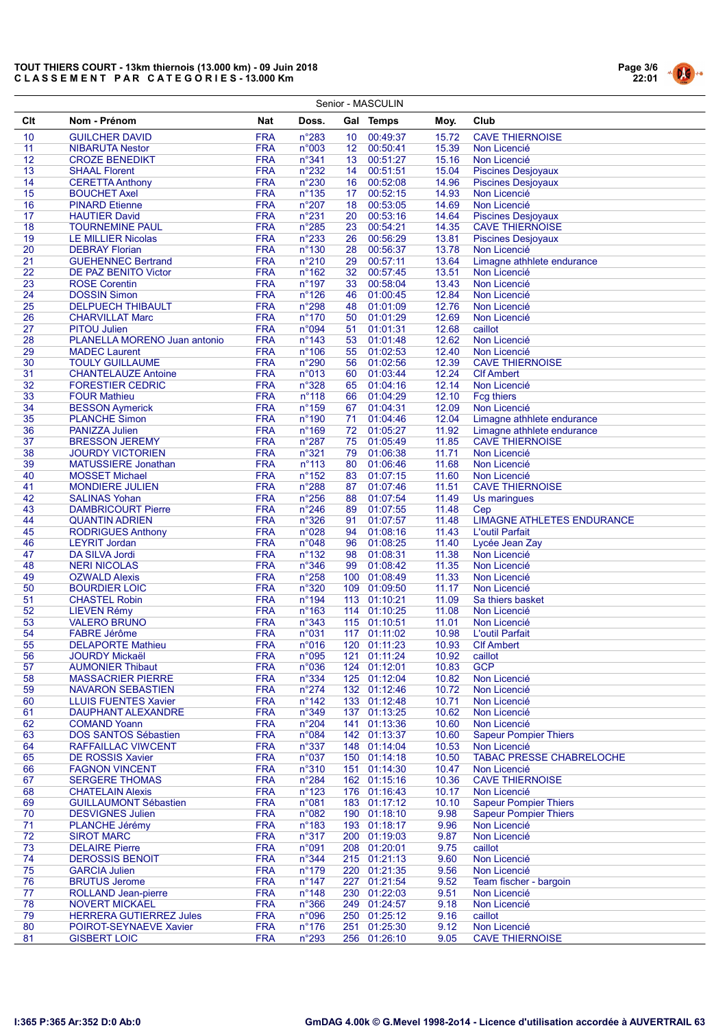|          |                                                         |                          |                                   |                 | Senior - MASCULIN            |                |                                                      |
|----------|---------------------------------------------------------|--------------------------|-----------------------------------|-----------------|------------------------------|----------------|------------------------------------------------------|
| Clt      | Nom - Prénom                                            | Nat                      | Doss.                             |                 | Gal Temps                    | Moy.           | Club                                                 |
| 10       | <b>GUILCHER DAVID</b>                                   | <b>FRA</b>               | n°283                             | 10 <sup>°</sup> | 00:49:37                     | 15.72          | <b>CAVE THIERNOISE</b>                               |
| 11       | <b>NIBARUTA Nestor</b>                                  | <b>FRA</b>               | n°003                             | 12 <sup>7</sup> | 00:50:41                     | 15.39          | Non Licencié                                         |
| 12       | <b>CROZE BENEDIKT</b>                                   | <b>FRA</b>               | n°341                             | 13              | 00:51:27                     | 15.16          | Non Licencié                                         |
| 13       | <b>SHAAL Florent</b>                                    | <b>FRA</b>               | $n^{\circ}232$                    | 14              | 00:51:51                     | 15.04          | <b>Piscines Desjoyaux</b>                            |
| 14       | <b>CERETTA Anthony</b>                                  | <b>FRA</b>               | n°230                             | 16              | 00:52:08                     | 14.96          | <b>Piscines Desjoyaux</b>                            |
| 15       | <b>BOUCHET Axel</b>                                     | <b>FRA</b>               | $n^{\circ}$ 135                   | 17 <sub>2</sub> | 00:52:15                     | 14.93          | Non Licencié                                         |
| 16       | <b>PINARD Etienne</b>                                   | <b>FRA</b>               | n°207                             | 18              | 00:53:05                     | 14.69          | Non Licencié                                         |
| 17       | <b>HAUTIER David</b>                                    | <b>FRA</b>               | $n^{\circ}231$                    | 20              | 00:53:16                     | 14.64          | <b>Piscines Desjoyaux</b>                            |
| 18       | <b>TOURNEMINE PAUL</b>                                  | <b>FRA</b>               | $n^{\circ}285$                    | 23              | 00:54:21<br>00:56:29         | 14.35          | <b>CAVE THIERNOISE</b>                               |
| 19<br>20 | <b>LE MILLIER Nicolas</b><br><b>DEBRAY Florian</b>      | <b>FRA</b><br><b>FRA</b> | $n^{\circ}233$<br>$n^{\circ}$ 130 | 26<br>28        | 00:56:37                     | 13.81<br>13.78 | <b>Piscines Desjoyaux</b><br>Non Licencié            |
| 21       | <b>GUEHENNEC Bertrand</b>                               | <b>FRA</b>               | $n^{\circ}210$                    | 29              | 00:57:11                     | 13.64          | Limagne athhlete endurance                           |
| 22       | DE PAZ BENITO Victor                                    | <b>FRA</b>               | $n^{\circ}162$                    | 32 <sup>2</sup> | 00:57:45                     | 13.51          | Non Licencié                                         |
| 23       | <b>ROSE Corentin</b>                                    | <b>FRA</b>               | $n^{\circ}$ 197                   | 33              | 00:58:04                     | 13.43          | Non Licencié                                         |
| 24       | <b>DOSSIN Simon</b>                                     | <b>FRA</b>               | $n^{\circ}126$                    | 46              | 01:00:45                     | 12.84          | Non Licencié                                         |
| 25       | <b>DELPUECH THIBAULT</b>                                | <b>FRA</b>               | n°298                             | 48              | 01:01:09                     | 12.76          | Non Licencié                                         |
| 26       | <b>CHARVILLAT Marc</b>                                  | <b>FRA</b>               | $n^{\circ}170$                    | 50              | 01:01:29                     | 12.69          | Non Licencié                                         |
| 27       | <b>PITOU Julien</b>                                     | <b>FRA</b>               | n°094                             | 51              | 01:01:31                     | 12.68          | caillot                                              |
| 28       | PLANELLA MORENO Juan antonio                            | <b>FRA</b>               | $n^{\circ}$ 143                   | 53              | 01:01:48                     | 12.62          | Non Licencié                                         |
| 29<br>30 | <b>MADEC Laurent</b><br><b>TOULY GUILLAUME</b>          | <b>FRA</b><br><b>FRA</b> | $n^{\circ}106$<br>n°290           | 55<br>56        | 01:02:53<br>01:02:56         | 12.40<br>12.39 | Non Licencié<br><b>CAVE THIERNOISE</b>               |
| 31       | <b>CHANTELAUZE Antoine</b>                              | <b>FRA</b>               | n°013                             | 60              | 01:03:44                     | 12.24          | <b>CIf Ambert</b>                                    |
| 32       | <b>FORESTIER CEDRIC</b>                                 | <b>FRA</b>               | n°328                             | 65              | 01:04:16                     | 12.14          | Non Licencié                                         |
| 33       | <b>FOUR Mathieu</b>                                     | <b>FRA</b>               | $n^{\circ}118$                    | 66              | 01:04:29                     | 12.10          | <b>Fcg thiers</b>                                    |
| 34       | <b>BESSON Aymerick</b>                                  | <b>FRA</b>               | $n^{\circ}159$                    | 67              | 01:04:31                     | 12.09          | Non Licencié                                         |
| 35       | <b>PLANCHE Simon</b>                                    | <b>FRA</b>               | n°190                             | 71              | 01:04:46                     | 12.04          | Limagne athhlete endurance                           |
| 36       | <b>PANIZZA Julien</b>                                   | <b>FRA</b>               | $n^{\circ}169$                    | 72              | 01:05:27                     | 11.92          | Limagne athhlete endurance                           |
| 37       | <b>BRESSON JEREMY</b>                                   | <b>FRA</b>               | $n^{\circ}287$                    | 75              | 01:05:49                     | 11.85          | <b>CAVE THIERNOISE</b>                               |
| 38       | <b>JOURDY VICTORIEN</b>                                 | <b>FRA</b>               | n°321                             | 79              | 01:06:38                     | 11.71          | Non Licencié                                         |
| 39       | <b>MATUSSIERE Jonathan</b>                              | <b>FRA</b>               | $n^{\circ}113$                    | 80              | 01:06:46                     | 11.68          | Non Licencié                                         |
| 40       | <b>MOSSET Michael</b>                                   | <b>FRA</b>               | $n^{\circ}152$                    | 83              | 01:07:15                     | 11.60          | Non Licencié                                         |
| 41       | <b>MONDIERE JULIEN</b>                                  | <b>FRA</b>               | $n^{\circ}288$                    | 87              | 01:07:46                     | 11.51          | <b>CAVE THIERNOISE</b>                               |
| 42       | <b>SALINAS Yohan</b>                                    | <b>FRA</b>               | $n^{\circ}256$                    | 88              | 01:07:54                     | 11.49          | Us maringues                                         |
| 43       | <b>DAMBRICOURT Pierre</b>                               | <b>FRA</b>               | $n^{\circ}246$                    | 89              | 01:07:55                     | 11.48          | Cep                                                  |
| 44<br>45 | <b>QUANTIN ADRIEN</b>                                   | <b>FRA</b><br><b>FRA</b> | n°326<br>n°028                    | 91<br>94        | 01:07:57<br>01:08:16         | 11.48<br>11.43 | <b>LIMAGNE ATHLETES ENDURANCE</b><br>L'outil Parfait |
| 46       | <b>RODRIGUES Anthony</b><br><b>LEYRIT Jordan</b>        | <b>FRA</b>               | n°048                             | 96              | 01:08:25                     | 11.40          | Lycée Jean Zay                                       |
| 47       | DA SILVA Jordi                                          | <b>FRA</b>               | $n^{\circ}$ 132                   | 98              | 01:08:31                     | 11.38          | Non Licencié                                         |
| 48       | <b>NERI NICOLAS</b>                                     | <b>FRA</b>               | n°346                             | 99              | 01:08:42                     | 11.35          | Non Licencié                                         |
| 49       | <b>OZWALD Alexis</b>                                    | <b>FRA</b>               | n°258                             |                 | 100 01:08:49                 | 11.33          | Non Licencié                                         |
| 50       | <b>BOURDIER LOIC</b>                                    | <b>FRA</b>               | n°320                             |                 | 109 01:09:50                 | 11.17          | Non Licencié                                         |
| 51       | <b>CHASTEL Robin</b>                                    | <b>FRA</b>               | $n^{\circ}$ 194                   |                 | 113 01:10:21                 | 11.09          | Sa thiers basket                                     |
| 52       | <b>LIEVEN Rémy</b>                                      | <b>FRA</b>               | $n^{\circ}163$                    |                 | 114 01:10:25                 | 11.08          | Non Licencié                                         |
| 53       | <b>VALERO BRUNO</b>                                     | <b>FRA</b>               | $n^{\circ}343$                    |                 | 115 01:10:51                 | 11.01          | Non Licencié                                         |
| 54       | <b>FABRE Jérôme</b>                                     | <b>FRA</b>               | n°031                             |                 | 117 01:11:02                 | 10.98          | <b>L'outil Parfait</b>                               |
| 55       | <b>DELAPORTE Mathieu</b>                                | <b>FRA</b>               | n°016                             |                 | 120 01:11:23                 | 10.93          | <b>CIf Ambert</b>                                    |
| 56<br>57 | <b>JOURDY Mickaël</b><br><b>AUMONIER Thibaut</b>        | <b>FRA</b><br><b>FRA</b> | n°095<br>n°036                    |                 | 121 01:11:24<br>124 01:12:01 | 10.92<br>10.83 | caillot<br><b>GCP</b>                                |
| 58       | <b>MASSACRIER PIERRE</b>                                | <b>FRA</b>               | n°334                             |                 | 125 01:12:04                 | 10.82          | Non Licencié                                         |
| 59       | <b>NAVARON SEBASTIEN</b>                                | <b>FRA</b>               | $n^{\circ}274$                    |                 | 132 01:12:46                 | 10.72          | Non Licencié                                         |
| 60       | <b>LLUIS FUENTES Xavier</b>                             | <b>FRA</b>               | $n^{\circ}$ 142                   |                 | 133 01:12:48                 | 10.71          | Non Licencié                                         |
| 61       | DAUPHANT ALEXANDRE                                      | <b>FRA</b>               | n°349                             |                 | 137 01:13:25                 | 10.62          | Non Licencié                                         |
| 62       | <b>COMAND Yoann</b>                                     | <b>FRA</b>               | $n^{\circ}204$                    |                 | 141 01:13:36                 | 10.60          | Non Licencié                                         |
| 63       | <b>DOS SANTOS Sébastien</b>                             | <b>FRA</b>               | n°084                             |                 | 142 01:13:37                 | 10.60          | <b>Sapeur Pompier Thiers</b>                         |
| 64       | <b>RAFFAILLAC VIWCENT</b>                               | <b>FRA</b>               | $n^{\circ}337$                    |                 | 148 01:14:04                 | 10.53          | Non Licencié                                         |
| 65       | <b>DE ROSSIS Xavier</b>                                 | <b>FRA</b>               | n°037                             |                 | 150 01:14:18                 | 10.50          | <b>TABAC PRESSE CHABRELOCHE</b>                      |
| 66       | <b>FAGNON VINCENT</b>                                   | <b>FRA</b>               | n°310                             |                 | 151 01:14:30                 | 10.47          | Non Licencié                                         |
| 67       | <b>SERGERE THOMAS</b>                                   | <b>FRA</b>               | $n^{\circ}284$                    |                 | 162 01:15:16                 | 10.36          | <b>CAVE THIERNOISE</b>                               |
| 68<br>69 | <b>CHATELAIN Alexis</b><br><b>GUILLAUMONT Sébastien</b> | <b>FRA</b><br><b>FRA</b> | $n^{\circ}123$<br>n°081           |                 | 176 01:16:43<br>183 01:17:12 | 10.17<br>10.10 | Non Licencié<br><b>Sapeur Pompier Thiers</b>         |
| 70       | <b>DESVIGNES Julien</b>                                 | <b>FRA</b>               | n°082                             |                 | 190 01:18:10                 | 9.98           | <b>Sapeur Pompier Thiers</b>                         |
| 71       | PLANCHE Jérémy                                          | <b>FRA</b>               | $n^{\circ}183$                    |                 | 193 01:18:17                 | 9.96           | Non Licencié                                         |
| 72       | <b>SIROT MARC</b>                                       | <b>FRA</b>               | n°317                             |                 | 200 01:19:03                 | 9.87           | Non Licencié                                         |
| 73       | <b>DELAIRE Pierre</b>                                   | <b>FRA</b>               | n°091                             |                 | 208 01:20:01                 | 9.75           | caillot                                              |
| 74       | <b>DEROSSIS BENOIT</b>                                  | <b>FRA</b>               | n°344                             |                 | 215 01:21:13                 | 9.60           | Non Licencié                                         |
| 75       | <b>GARCIA Julien</b>                                    | <b>FRA</b>               | $n^{\circ}$ 179                   |                 | 220 01:21:35                 | 9.56           | Non Licencié                                         |
| 76       | <b>BRUTUS Jerome</b>                                    | <b>FRA</b>               | $n^{\circ}$ 147                   |                 | 227 01:21:54                 | 9.52           | Team fischer - bargoin                               |
| 77       | ROLLAND Jean-pierre                                     | <b>FRA</b>               | $n^{\circ}$ 148                   |                 | 230 01:22:03                 | 9.51           | Non Licencié                                         |
| 78       | <b>NOVERT MICKAEL</b>                                   | <b>FRA</b>               | $n^{\circ}366$                    |                 | 249 01:24:57                 | 9.18           | Non Licencié                                         |
| 79       | <b>HERRERA GUTIERREZ Jules</b>                          | <b>FRA</b>               | n°096                             |                 | 250 01:25:12                 | 9.16           | caillot                                              |
| 80<br>81 | POIROT-SEYNAEVE Xavier<br><b>GISBERT LOIC</b>           | <b>FRA</b><br><b>FRA</b> | $n^{\circ}176$<br>$n^{\circ}293$  | 251             | 01:25:30<br>256 01:26:10     | 9.12<br>9.05   | Non Licencié<br><b>CAVE THIERNOISE</b>               |
|          |                                                         |                          |                                   |                 |                              |                |                                                      |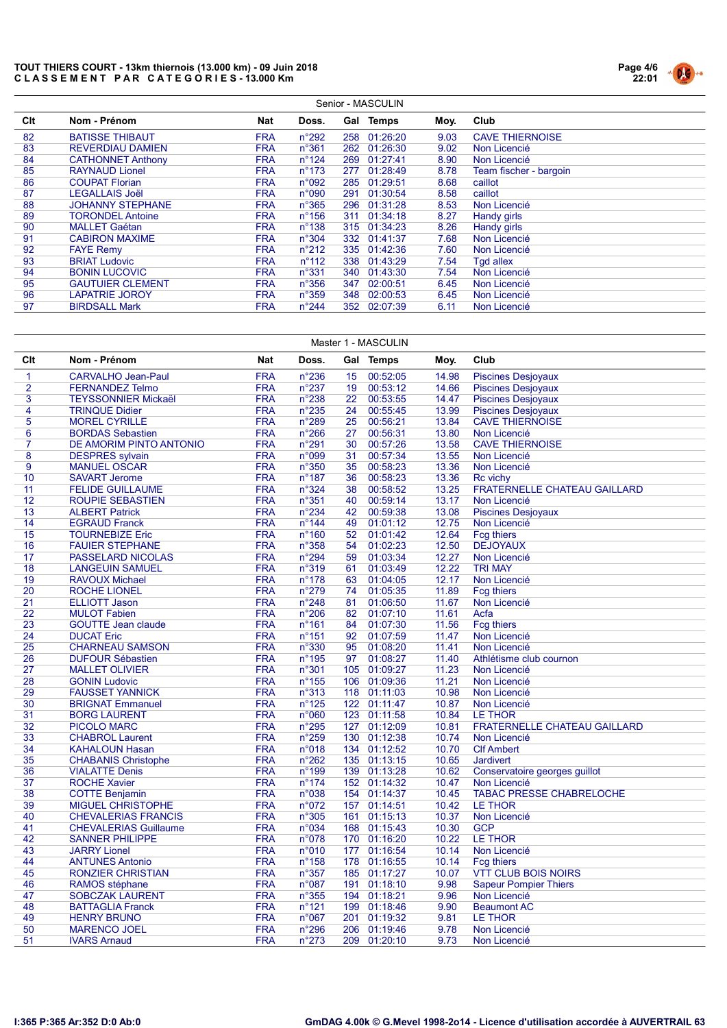

|     | Senior - MASCULIN        |            |                 |     |              |      |                        |  |  |  |  |  |
|-----|--------------------------|------------|-----------------|-----|--------------|------|------------------------|--|--|--|--|--|
| Clt | Nom - Prénom             | Nat        | Doss.           |     | Gal Temps    | Moy. | Club                   |  |  |  |  |  |
| 82  | <b>BATISSE THIBAUT</b>   | <b>FRA</b> | $n^{\circ}292$  | 258 | 01:26:20     | 9.03 | <b>CAVE THIERNOISE</b> |  |  |  |  |  |
| 83  | <b>REVERDIAU DAMIEN</b>  | <b>FRA</b> | $n^{\circ}361$  |     | 262 01:26:30 | 9.02 | Non Licencié           |  |  |  |  |  |
| 84  | <b>CATHONNET Anthony</b> | <b>FRA</b> | $n^{\circ}124$  |     | 269 01:27:41 | 8.90 | Non Licencié           |  |  |  |  |  |
| 85  | <b>RAYNAUD Lionel</b>    | <b>FRA</b> | $n^{\circ}$ 173 |     | 277 01:28:49 | 8.78 | Team fischer - bargoin |  |  |  |  |  |
| 86  | <b>COUPAT Florian</b>    | <b>FRA</b> | n°092           |     | 285 01:29:51 | 8.68 | caillot                |  |  |  |  |  |
| 87  | <b>LEGALLAIS Joël</b>    | <b>FRA</b> | n°090           |     | 291 01:30:54 | 8.58 | caillot                |  |  |  |  |  |
| 88  | <b>JOHANNY STEPHANE</b>  | <b>FRA</b> | $n^{\circ}365$  |     | 296 01:31:28 | 8.53 | Non Licencié           |  |  |  |  |  |
| 89  | <b>TORONDEL Antoine</b>  | <b>FRA</b> | $n^{\circ}$ 156 | 311 | 01:34:18     | 8.27 | Handy girls            |  |  |  |  |  |
| 90  | <b>MALLET Gaétan</b>     | <b>FRA</b> | $n^{\circ}$ 138 |     | 315 01:34:23 | 8.26 | Handy girls            |  |  |  |  |  |
| 91  | <b>CABIRON MAXIME</b>    | <b>FRA</b> | n°304           |     | 332 01:41:37 | 7.68 | Non Licencié           |  |  |  |  |  |
| 92  | <b>FAYE Remy</b>         | <b>FRA</b> | $n^{\circ}212$  |     | 335 01:42:36 | 7.60 | Non Licencié           |  |  |  |  |  |
| 93  | <b>BRIAT Ludovic</b>     | <b>FRA</b> | $n^{\circ}112$  | 338 | 01:43:29     | 7.54 | <b>Tgd allex</b>       |  |  |  |  |  |
| 94  | <b>BONIN LUCOVIC</b>     | <b>FRA</b> | $n^{\circ}331$  |     | 340 01:43:30 | 7.54 | Non Licencié           |  |  |  |  |  |
| 95  | <b>GAUTUIER CLEMENT</b>  | <b>FRA</b> | $n^{\circ}356$  | 347 | 02:00:51     | 6.45 | Non Licencié           |  |  |  |  |  |
| 96  | <b>LAPATRIE JOROY</b>    | <b>FRA</b> | $n^{\circ}359$  | 348 | 02:00:53     | 6.45 | Non Licencié           |  |  |  |  |  |
| 97  | <b>BIRDSALL Mark</b>     | FRA        | $n^{\circ}244$  | 352 | 02:07:39     | 6.11 | Non Licencié           |  |  |  |  |  |

|                | Master 1 - MASCULIN          |            |                 |     |              |       |                                     |  |  |  |  |
|----------------|------------------------------|------------|-----------------|-----|--------------|-------|-------------------------------------|--|--|--|--|
| Clt            | Nom - Prénom                 | <b>Nat</b> | Doss.           |     | Gal Temps    | Moy.  | Club                                |  |  |  |  |
| $\mathbf{1}$   | <b>CARVALHO Jean-Paul</b>    | <b>FRA</b> | $n^{\circ}236$  | 15  | 00:52:05     | 14.98 | <b>Piscines Desjoyaux</b>           |  |  |  |  |
| $\overline{2}$ | <b>FERNANDEZ Telmo</b>       | <b>FRA</b> | $n^{\circ}237$  | 19  | 00:53:12     | 14.66 | <b>Piscines Desjoyaux</b>           |  |  |  |  |
| 3              | <b>TEYSSONNIER Mickaël</b>   | <b>FRA</b> | $n^{\circ}238$  | 22  | 00:53:55     | 14.47 | <b>Piscines Desjoyaux</b>           |  |  |  |  |
| 4              | <b>TRINQUE Didier</b>        | <b>FRA</b> | n°235           | 24  | 00:55:45     | 13.99 | <b>Piscines Desjoyaux</b>           |  |  |  |  |
| 5              | <b>MOREL CYRILLE</b>         | <b>FRA</b> | n°289           | 25  | 00:56:21     | 13.84 | <b>CAVE THIERNOISE</b>              |  |  |  |  |
| 6              | <b>BORDAS Sebastien</b>      | <b>FRA</b> | $n^{\circ}266$  | 27  | 00:56:31     | 13.80 | Non Licencié                        |  |  |  |  |
| $\overline{7}$ | DE AMORIM PINTO ANTONIO      | <b>FRA</b> | $n^{\circ}291$  | 30  | 00:57:26     | 13.58 | <b>CAVE THIERNOISE</b>              |  |  |  |  |
| 8              | <b>DESPRES</b> sylvain       | <b>FRA</b> | n°099           | 31  | 00:57:34     | 13.55 | Non Licencié                        |  |  |  |  |
| 9              | <b>MANUEL OSCAR</b>          | <b>FRA</b> | $n^{\circ}350$  | 35  | 00:58:23     | 13.36 | Non Licencié                        |  |  |  |  |
| 10             | <b>SAVART Jerome</b>         | <b>FRA</b> | $n^{\circ}$ 187 | 36  | 00:58:23     | 13.36 | <b>Rc</b> vichy                     |  |  |  |  |
| 11             | <b>FELIDE GUILLAUME</b>      | <b>FRA</b> | n°324           | 38  | 00:58:52     | 13.25 | <b>FRATERNELLE CHATEAU GAILLARD</b> |  |  |  |  |
| 12             | ROUPIE SEBASTIEN             | <b>FRA</b> | $n^{\circ}351$  | 40  | 00:59:14     | 13.17 | Non Licencié                        |  |  |  |  |
| 13             | <b>ALBERT Patrick</b>        | <b>FRA</b> | $n^{\circ}234$  | 42  | 00:59:38     | 13.08 | <b>Piscines Desjoyaux</b>           |  |  |  |  |
| 14             | <b>EGRAUD Franck</b>         | <b>FRA</b> | $n^{\circ}$ 144 | 49  | 01:01:12     | 12.75 | Non Licencié                        |  |  |  |  |
| 15             | <b>TOURNEBIZE Eric</b>       | <b>FRA</b> | $n^{\circ}$ 160 | 52  | 01:01:42     | 12.64 | <b>Fcg thiers</b>                   |  |  |  |  |
| 16             | <b>FAUIER STEPHANE</b>       | <b>FRA</b> | $n^{\circ}358$  | 54  | 01:02:23     | 12.50 | <b>DEJOYAUX</b>                     |  |  |  |  |
| 17             | PASSELARD NICOLAS            | <b>FRA</b> | $n^{\circ}294$  | 59  | 01:03:34     | 12.27 | Non Licencié                        |  |  |  |  |
| 18             | <b>LANGEUIN SAMUEL</b>       | <b>FRA</b> | n°319           | 61  | 01:03:49     | 12.22 | <b>TRI MAY</b>                      |  |  |  |  |
| 19             | <b>RAVOUX Michael</b>        | <b>FRA</b> | $n^{\circ}$ 178 | 63  | 01:04:05     | 12.17 | Non Licencié                        |  |  |  |  |
| 20             | <b>ROCHE LIONEL</b>          | <b>FRA</b> | $n^{\circ}279$  | 74  | 01:05:35     | 11.89 | <b>Fcg thiers</b>                   |  |  |  |  |
| 21             | <b>ELLIOTT Jason</b>         | <b>FRA</b> | $n^{\circ}248$  | 81  | 01:06:50     | 11.67 | Non Licencié                        |  |  |  |  |
| 22             | <b>MULOT Fabien</b>          | <b>FRA</b> | $n^{\circ}206$  | 82  | 01:07:10     | 11.61 | Acfa                                |  |  |  |  |
| 23             | <b>GOUTTE Jean claude</b>    | <b>FRA</b> | $n^{\circ}161$  | 84  | 01:07:30     | 11.56 | <b>Fcg thiers</b>                   |  |  |  |  |
| 24             | <b>DUCAT Eric</b>            | <b>FRA</b> | $n^{\circ}151$  | 92  | 01:07:59     | 11.47 | Non Licencié                        |  |  |  |  |
| 25             | <b>CHARNEAU SAMSON</b>       | <b>FRA</b> | n°330           | 95  | 01:08:20     | 11.41 | Non Licencié                        |  |  |  |  |
| 26             | <b>DUFOUR Sébastien</b>      | <b>FRA</b> | $n^{\circ}$ 195 | 97  | 01:08:27     | 11.40 | Athlétisme club cournon             |  |  |  |  |
| 27             | <b>MALLET OLIVIER</b>        | <b>FRA</b> | n°301           |     | 105 01:09:27 | 11.23 | Non Licencié                        |  |  |  |  |
| 28             | <b>GONIN Ludovic</b>         | <b>FRA</b> | $n^{\circ}155$  |     | 106 01:09:36 | 11.21 | Non Licencié                        |  |  |  |  |
| 29             | <b>FAUSSET YANNICK</b>       | <b>FRA</b> | n°313           |     | 118 01:11:03 | 10.98 | Non Licencié                        |  |  |  |  |
| 30             | <b>BRIGNAT Emmanuel</b>      | <b>FRA</b> | $n^{\circ}$ 125 |     | 122 01:11:47 | 10.87 | Non Licencié                        |  |  |  |  |
| 31             | <b>BORG LAURENT</b>          | <b>FRA</b> | n°060           |     | 123 01:11:58 | 10.84 | <b>LE THOR</b>                      |  |  |  |  |
| 32             | <b>PICOLO MARC</b>           | <b>FRA</b> | $n^{\circ}295$  |     | 127 01:12:09 | 10.81 | <b>FRATERNELLE CHATEAU GAILLARD</b> |  |  |  |  |
| 33             | <b>CHABROL Laurent</b>       | <b>FRA</b> | $n^{\circ}259$  |     | 130 01:12:38 | 10.74 | Non Licencié                        |  |  |  |  |
| 34             | <b>KAHALOUN Hasan</b>        | <b>FRA</b> | n°018           |     | 134 01:12:52 | 10.70 | <b>CIf Ambert</b>                   |  |  |  |  |
| 35             | <b>CHABANIS Christophe</b>   | <b>FRA</b> | $n^{\circ}262$  |     | 135 01:13:15 | 10.65 | <b>Jardivert</b>                    |  |  |  |  |
| 36             | <b>VIALATTE Denis</b>        | <b>FRA</b> | $n^{\circ}$ 199 |     | 139 01:13:28 | 10.62 | Conservatoire georges guillot       |  |  |  |  |
| 37             | <b>ROCHE Xavier</b>          | <b>FRA</b> | $n^{\circ}174$  |     | 152 01:14:32 | 10.47 | Non Licencié                        |  |  |  |  |
| 38             | <b>COTTE Benjamin</b>        | <b>FRA</b> | n°038           |     | 154 01:14:37 | 10.45 | <b>TABAC PRESSE CHABRELOCHE</b>     |  |  |  |  |
| 39             | <b>MIGUEL CHRISTOPHE</b>     | <b>FRA</b> | n°072           |     | 157 01:14:51 | 10.42 | <b>LE THOR</b>                      |  |  |  |  |
| 40             | <b>CHEVALERIAS FRANCIS</b>   | <b>FRA</b> | n°305           | 161 | 01:15:13     | 10.37 | Non Licencié                        |  |  |  |  |
| 41             | <b>CHEVALERIAS Guillaume</b> | <b>FRA</b> | n°034           |     | 168 01:15:43 | 10.30 | <b>GCP</b>                          |  |  |  |  |
| 42             | <b>SANNER PHILIPPE</b>       | <b>FRA</b> | n°078           |     | 170 01:16:20 | 10.22 | <b>LE THOR</b>                      |  |  |  |  |
| 43             | <b>JARRY Lionel</b>          | <b>FRA</b> | n°010           |     | 177 01:16:54 | 10.14 | Non Licencié                        |  |  |  |  |
| 44             | <b>ANTUNES Antonio</b>       | <b>FRA</b> | $n^{\circ}$ 158 |     | 178 01:16:55 | 10.14 | <b>Fcg thiers</b>                   |  |  |  |  |
| 45             | <b>RONZIER CHRISTIAN</b>     | <b>FRA</b> | $n^{\circ}357$  |     | 185 01:17:27 | 10.07 | <b>VTT CLUB BOIS NOIRS</b>          |  |  |  |  |
| 46             | <b>RAMOS</b> stéphane        | <b>FRA</b> | n°087           |     | 191 01:18:10 | 9.98  | <b>Sapeur Pompier Thiers</b>        |  |  |  |  |
| 47             | <b>SOBCZAK LAURENT</b>       | <b>FRA</b> | $n^{\circ}355$  |     | 194 01:18:21 | 9.96  | Non Licencié                        |  |  |  |  |
| 48             | <b>BATTAGLIA Franck</b>      | <b>FRA</b> | $n^{\circ}$ 121 |     | 199 01:18:46 | 9.90  | <b>Beaumont AC</b>                  |  |  |  |  |
| 49             | <b>HENRY BRUNO</b>           | <b>FRA</b> | n°067           | 201 | 01:19:32     | 9.81  | <b>LE THOR</b>                      |  |  |  |  |
| 50             | <b>MARENCO JOEL</b>          | <b>FRA</b> | $n^{\circ}296$  |     | 206 01:19:46 | 9.78  | Non Licencié                        |  |  |  |  |
| 51             | <b>IVARS Arnaud</b>          | <b>FRA</b> | $n^{\circ}273$  |     | 209 01:20:10 | 9.73  | Non Licencié                        |  |  |  |  |
|                |                              |            |                 |     |              |       |                                     |  |  |  |  |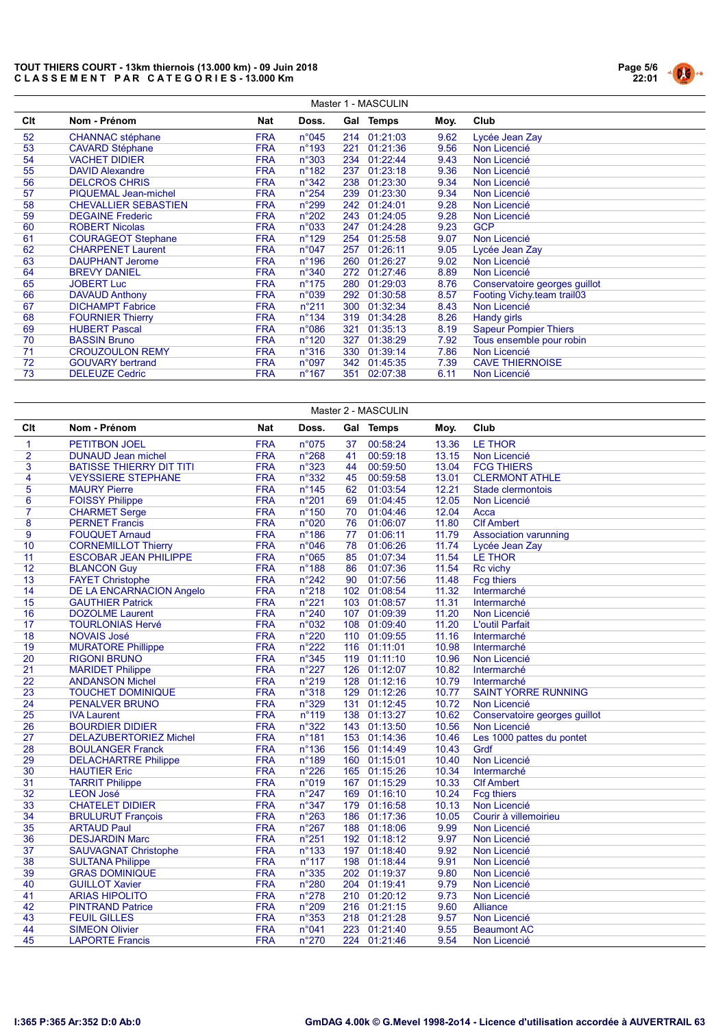

| Master 1 - MASCULIN |                             |            |                 |     |              |      |                               |  |  |  |  |
|---------------------|-----------------------------|------------|-----------------|-----|--------------|------|-------------------------------|--|--|--|--|
| Clt                 | Nom - Prénom                | Nat        | Doss.           |     | Gal Temps    | Moy. | Club                          |  |  |  |  |
| 52                  | <b>CHANNAC</b> stéphane     | <b>FRA</b> | $n^{\circ}045$  |     | 214 01:21:03 | 9.62 | Lycée Jean Zay                |  |  |  |  |
| 53                  | <b>CAVARD Stéphane</b>      | <b>FRA</b> | $n^{\circ}$ 193 | 221 | 01:21:36     | 9.56 | Non Licencié                  |  |  |  |  |
| 54                  | <b>VACHET DIDIER</b>        | <b>FRA</b> | $n^{\circ}303$  |     | 234 01:22:44 | 9.43 | Non Licencié                  |  |  |  |  |
| 55                  | <b>DAVID Alexandre</b>      | <b>FRA</b> | $n^{\circ}$ 182 | 237 | 01:23:18     | 9.36 | Non Licencié                  |  |  |  |  |
| 56                  | <b>DELCROS CHRIS</b>        | <b>FRA</b> | $n^{\circ}342$  |     | 238 01:23:30 | 9.34 | Non Licencié                  |  |  |  |  |
| 57                  | <b>PIQUEMAL Jean-michel</b> | <b>FRA</b> | $n^{\circ}254$  | 239 | 01:23:30     | 9.34 | Non Licencié                  |  |  |  |  |
| 58                  | <b>CHEVALLIER SEBASTIEN</b> | <b>FRA</b> | $n^{\circ}299$  |     | 242 01:24:01 | 9.28 | Non Licencié                  |  |  |  |  |
| 59                  | <b>DEGAINE Frederic</b>     | <b>FRA</b> | $n^{\circ}202$  |     | 243 01:24:05 | 9.28 | Non Licencié                  |  |  |  |  |
| 60                  | <b>ROBERT Nicolas</b>       | <b>FRA</b> | n°033           | 247 | 01:24:28     | 9.23 | <b>GCP</b>                    |  |  |  |  |
| 61                  | <b>COURAGEOT Stephane</b>   | <b>FRA</b> | $n^{\circ}$ 129 |     | 254 01:25:58 | 9.07 | Non Licencié                  |  |  |  |  |
| 62                  | <b>CHARPENET Laurent</b>    | <b>FRA</b> | n°047           | 257 | 01:26:11     | 9.05 | Lycée Jean Zay                |  |  |  |  |
| 63                  | <b>DAUPHANT Jerome</b>      | <b>FRA</b> | $n^{\circ}$ 196 |     | 260 01:26:27 | 9.02 | Non Licencié                  |  |  |  |  |
| 64                  | <b>BREVY DANIEL</b>         | <b>FRA</b> | $n^{\circ}340$  |     | 272 01:27:46 | 8.89 | Non Licencié                  |  |  |  |  |
| 65                  | <b>JOBERT Luc</b>           | <b>FRA</b> | $n^{\circ}175$  |     | 280 01:29:03 | 8.76 | Conservatoire georges guillot |  |  |  |  |
| 66                  | <b>DAVAUD Anthony</b>       | <b>FRA</b> | n°039           |     | 292 01:30:58 | 8.57 | Footing Vichy.team trail03    |  |  |  |  |
| 67                  | <b>DICHAMPT Fabrice</b>     | <b>FRA</b> | $n^{\circ}211$  |     | 300 01:32:34 | 8.43 | Non Licencié                  |  |  |  |  |
| 68                  | <b>FOURNIER Thierry</b>     | <b>FRA</b> | $n^{\circ}$ 134 |     | 319 01:34:28 | 8.26 | Handy girls                   |  |  |  |  |
| 69                  | <b>HUBERT Pascal</b>        | <b>FRA</b> | $n^{\circ}086$  | 321 | 01:35:13     | 8.19 | <b>Sapeur Pompier Thiers</b>  |  |  |  |  |
| 70                  | <b>BASSIN Bruno</b>         | <b>FRA</b> | $n^{\circ}$ 120 | 327 | 01:38:29     | 7.92 | Tous ensemble pour robin      |  |  |  |  |
| 71                  | <b>CROUZOULON REMY</b>      | <b>FRA</b> | $n^{\circ}316$  |     | 330 01:39:14 | 7.86 | Non Licencié                  |  |  |  |  |
| 72                  | <b>GOUVARY bertrand</b>     | <b>FRA</b> | n°097           |     | 342 01:45:35 | 7.39 | <b>CAVE THIERNOISE</b>        |  |  |  |  |
| 73                  | <b>DELEUZE Cedric</b>       | <b>FRA</b> | $n^{\circ}$ 167 | 351 | 02:07:38     | 6.11 | Non Licencié                  |  |  |  |  |

| Master 2 - MASCULIN |                                 |            |                 |    |              |       |                               |  |  |  |
|---------------------|---------------------------------|------------|-----------------|----|--------------|-------|-------------------------------|--|--|--|
| Clt                 | Nom - Prénom                    | <b>Nat</b> | Doss.           |    | Gal Temps    | Moy.  | Club                          |  |  |  |
| 1                   | <b>PETITBON JOEL</b>            | <b>FRA</b> | n°075           | 37 | 00:58:24     | 13.36 | <b>LE THOR</b>                |  |  |  |
| $\overline{2}$      | <b>DUNAUD Jean michel</b>       | <b>FRA</b> | $n^{\circ}268$  | 41 | 00:59:18     | 13.15 | Non Licencié                  |  |  |  |
| 3                   | <b>BATISSE THIERRY DIT TITI</b> | <b>FRA</b> | n°323           | 44 | 00:59:50     | 13.04 | <b>FCG THIERS</b>             |  |  |  |
| 4                   | <b>VEYSSIERE STEPHANE</b>       | <b>FRA</b> | n°332           | 45 | 00:59:58     | 13.01 | <b>CLERMONT ATHLE</b>         |  |  |  |
| 5                   | <b>MAURY Pierre</b>             | <b>FRA</b> | $n^{\circ}$ 145 | 62 | 01:03:54     | 12.21 | Stade clermontois             |  |  |  |
| 6                   | <b>FOISSY Philippe</b>          | <b>FRA</b> | n°201           | 69 | 01:04:45     | 12.05 | Non Licencié                  |  |  |  |
| $\overline{7}$      | <b>CHARMET Serge</b>            | <b>FRA</b> | $n^{\circ}150$  | 70 | 01:04:46     | 12.04 | Acca                          |  |  |  |
| 8                   | <b>PERNET Francis</b>           | <b>FRA</b> | n°020           | 76 | 01:06:07     | 11.80 | <b>Clf Ambert</b>             |  |  |  |
| 9                   | <b>FOUQUET Arnaud</b>           | <b>FRA</b> | $n^{\circ}$ 186 | 77 | 01:06:11     | 11.79 | <b>Association varunning</b>  |  |  |  |
| 10                  | <b>CORNEMILLOT Thierry</b>      | <b>FRA</b> | n°046           | 78 | 01:06:26     | 11.74 | Lycée Jean Zay                |  |  |  |
| 11                  | <b>ESCOBAR JEAN PHILIPPE</b>    | <b>FRA</b> | n°065           | 85 | 01:07:34     | 11.54 | LE THOR                       |  |  |  |
| 12                  | <b>BLANCON Guy</b>              | <b>FRA</b> | $n^{\circ}188$  | 86 | 01:07:36     | 11.54 | Rc vichy                      |  |  |  |
| 13                  | <b>FAYET Christophe</b>         | <b>FRA</b> | $n^{\circ}242$  | 90 | 01:07:56     | 11.48 | <b>Fcg thiers</b>             |  |  |  |
| 14                  | DE LA ENCARNACION Angelo        | <b>FRA</b> | $n^{\circ}218$  |    | 102 01:08:54 | 11.32 | Intermarché                   |  |  |  |
| 15                  | <b>GAUTHIER Patrick</b>         | <b>FRA</b> | $n^{\circ}221$  |    | 103 01:08:57 | 11.31 | Intermarché                   |  |  |  |
| 16                  | <b>DOZOLME</b> Laurent          | <b>FRA</b> | $n^{\circ}240$  |    | 107 01:09:39 | 11.20 | Non Licencié                  |  |  |  |
| 17                  | <b>TOURLONIAS Hervé</b>         | <b>FRA</b> | n°032           |    | 108 01:09:40 | 11.20 | <b>L'outil Parfait</b>        |  |  |  |
| 18                  | <b>NOVAIS José</b>              | <b>FRA</b> | $n^{\circ}220$  |    | 110 01:09:55 | 11.16 | Intermarché                   |  |  |  |
| 19                  | <b>MURATORE Phillippe</b>       | <b>FRA</b> | $n^{\circ}222$  |    | 116 01:11:01 | 10.98 | Intermarché                   |  |  |  |
| 20                  | <b>RIGONI BRUNO</b>             | <b>FRA</b> | $n^{\circ}345$  |    | 119 01:11:10 | 10.96 | Non Licencié                  |  |  |  |
| 21                  | <b>MARIDET Philippe</b>         | <b>FRA</b> | $n^{\circ}227$  |    | 126 01:12:07 | 10.82 | Intermarché                   |  |  |  |
| 22                  | <b>ANDANSON Michel</b>          | <b>FRA</b> | n°219           |    | 128 01:12:16 | 10.79 | Intermarché                   |  |  |  |
| 23                  | <b>TOUCHET DOMINIQUE</b>        | <b>FRA</b> | n°318           |    | 129 01:12:26 | 10.77 | <b>SAINT YORRE RUNNING</b>    |  |  |  |
| 24                  | <b>PENALVER BRUNO</b>           | <b>FRA</b> | n°329           |    | 131 01:12:45 | 10.72 | Non Licencié                  |  |  |  |
| 25                  | <b>IVA Laurent</b>              | <b>FRA</b> | $n^{\circ}$ 119 |    | 138 01:13:27 | 10.62 | Conservatoire georges guillot |  |  |  |
| 26                  | <b>BOURDIER DIDIER</b>          | <b>FRA</b> | n°322           |    | 143 01:13:50 | 10.56 | Non Licencié                  |  |  |  |
| 27                  | <b>DELAZUBERTORIEZ Michel</b>   | <b>FRA</b> | $n^{\circ}181$  |    | 153 01:14:36 | 10.46 | Les 1000 pattes du pontet     |  |  |  |
| 28                  | <b>BOULANGER Franck</b>         | <b>FRA</b> | $n^{\circ}$ 136 |    | 156 01:14:49 | 10.43 | Grdf                          |  |  |  |
| 29                  | <b>DELACHARTRE Philippe</b>     | <b>FRA</b> | $n^{\circ}189$  |    | 160 01:15:01 | 10.40 | Non Licencié                  |  |  |  |
| 30                  | <b>HAUTIER Eric</b>             | <b>FRA</b> | $n^{\circ}226$  |    | 165 01:15:26 | 10.34 | Intermarché                   |  |  |  |
| 31                  | <b>TARRIT Philippe</b>          | <b>FRA</b> | n°019           |    | 167 01:15:29 | 10.33 | <b>Clf Ambert</b>             |  |  |  |
| 32                  | <b>LEON José</b>                | <b>FRA</b> | $n^{\circ}247$  |    | 169 01:16:10 | 10.24 | <b>Fcg thiers</b>             |  |  |  |
| 33                  | <b>CHATELET DIDIER</b>          | <b>FRA</b> | n°347           |    | 179 01:16:58 | 10.13 | Non Licencié                  |  |  |  |
| 34                  | <b>BRULURUT François</b>        | <b>FRA</b> | $n^{\circ}263$  |    | 186 01:17:36 | 10.05 | Courir à villemoirieu         |  |  |  |
| 35                  | <b>ARTAUD Paul</b>              | <b>FRA</b> | $n^{\circ}267$  |    | 188 01:18:06 | 9.99  | Non Licencié                  |  |  |  |
| 36                  | <b>DESJARDIN Marc</b>           | <b>FRA</b> | $n^{\circ}251$  |    | 192 01:18:12 | 9.97  | Non Licencié                  |  |  |  |
| 37                  | <b>SAUVAGNAT Christophe</b>     | <b>FRA</b> | $n^{\circ}$ 133 |    | 197 01:18:40 | 9.92  | Non Licencié                  |  |  |  |
| 38                  | <b>SULTANA Philippe</b>         | <b>FRA</b> | $n^{\circ}$ 117 |    | 198 01:18:44 | 9.91  | Non Licencié                  |  |  |  |
| 39                  | <b>GRAS DOMINIQUE</b>           | <b>FRA</b> | $n^{\circ}335$  |    | 202 01:19:37 | 9.80  | Non Licencié                  |  |  |  |
| 40                  | <b>GUILLOT Xavier</b>           | <b>FRA</b> | n°280           |    | 204 01:19:41 | 9.79  | Non Licencié                  |  |  |  |
| 41                  | <b>ARIAS HIPOLITO</b>           | <b>FRA</b> | $n^{\circ}278$  |    | 210 01:20:12 | 9.73  | Non Licencié                  |  |  |  |
| 42                  | <b>PINTRAND Patrice</b>         | <b>FRA</b> | n°209           |    | 216 01:21:15 | 9.60  | Alliance                      |  |  |  |
| 43                  | <b>FEUIL GILLES</b>             | <b>FRA</b> | n°353           |    | 218 01:21:28 | 9.57  | Non Licencié                  |  |  |  |
| 44                  | <b>SIMEON Olivier</b>           | <b>FRA</b> | n°041           |    | 223 01:21:40 | 9.55  | <b>Beaumont AC</b>            |  |  |  |
| 45                  | <b>LAPORTE Francis</b>          | <b>FRA</b> | $n^{\circ}270$  |    | 224 01:21:46 | 9.54  | Non Licencié                  |  |  |  |
|                     |                                 |            |                 |    |              |       |                               |  |  |  |